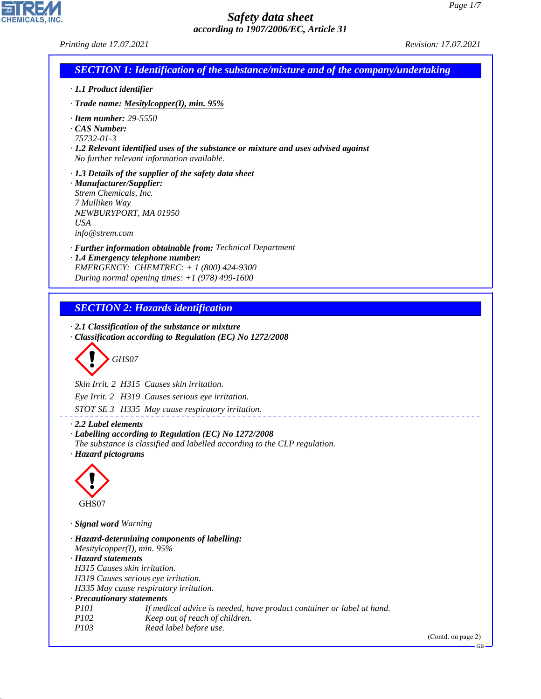CHEMICALS, INC.

44.1.1

|                                                   | Printing date 17.07.2021                                                                                | Revision: 17.07.2021 |
|---------------------------------------------------|---------------------------------------------------------------------------------------------------------|----------------------|
|                                                   | <b>SECTION 1: Identification of the substance/mixture and of the company/undertaking</b>                |                      |
| · 1.1 Product identifier                          |                                                                                                         |                      |
|                                                   | $\cdot$ Trade name: Mesitylcopper(I), min. 95%                                                          |                      |
| $\cdot$ Item number: 29-5550                      |                                                                                                         |                      |
| CAS Number:<br>75732-01-3                         |                                                                                                         |                      |
|                                                   | $\cdot$ 1.2 Relevant identified uses of the substance or mixture and uses advised against               |                      |
|                                                   | No further relevant information available.                                                              |                      |
|                                                   | · 1.3 Details of the supplier of the safety data sheet                                                  |                      |
| · Manufacturer/Supplier:<br>Strem Chemicals, Inc. |                                                                                                         |                      |
| 7 Mulliken Way                                    |                                                                                                         |                      |
|                                                   | NEWBURYPORT, MA 01950                                                                                   |                      |
| <b>USA</b>                                        |                                                                                                         |                      |
| info@strem.com                                    |                                                                                                         |                      |
|                                                   | · Further information obtainable from: Technical Department                                             |                      |
|                                                   | · 1.4 Emergency telephone number:<br>EMERGENCY: CHEMTREC: $+ 1 (800) 424 - 9300$                        |                      |
|                                                   | During normal opening times: $+1$ (978) 499-1600                                                        |                      |
|                                                   |                                                                                                         |                      |
|                                                   | <b>SECTION 2: Hazards identification</b>                                                                |                      |
|                                                   | GHS07                                                                                                   |                      |
|                                                   | Skin Irrit. 2 H315 Causes skin irritation.<br>Eye Irrit. 2 H319 Causes serious eye irritation.          |                      |
|                                                   | STOT SE 3 H335 May cause respiratory irritation.                                                        |                      |
| 2.2 Label elements                                |                                                                                                         |                      |
|                                                   | · Labelling according to Regulation (EC) No 1272/2008                                                   |                      |
|                                                   | The substance is classified and labelled according to the CLP regulation.                               |                      |
| · Hazard pictograms                               |                                                                                                         |                      |
|                                                   |                                                                                                         |                      |
|                                                   |                                                                                                         |                      |
| GHS07                                             |                                                                                                         |                      |
| · Signal word Warning                             |                                                                                                         |                      |
|                                                   | · Hazard-determining components of labelling:                                                           |                      |
| Mesitylcopper(I), min. $95%$                      |                                                                                                         |                      |
| · Hazard statements                               | H315 Causes skin irritation.                                                                            |                      |
|                                                   | H319 Causes serious eye irritation.                                                                     |                      |
|                                                   | H335 May cause respiratory irritation.                                                                  |                      |
| · Precautionary statements<br>P101                |                                                                                                         |                      |
| P102                                              | If medical advice is needed, have product container or label at hand.<br>Keep out of reach of children. |                      |
| P103                                              | Read label before use.                                                                                  | (Contd. on page 2)   |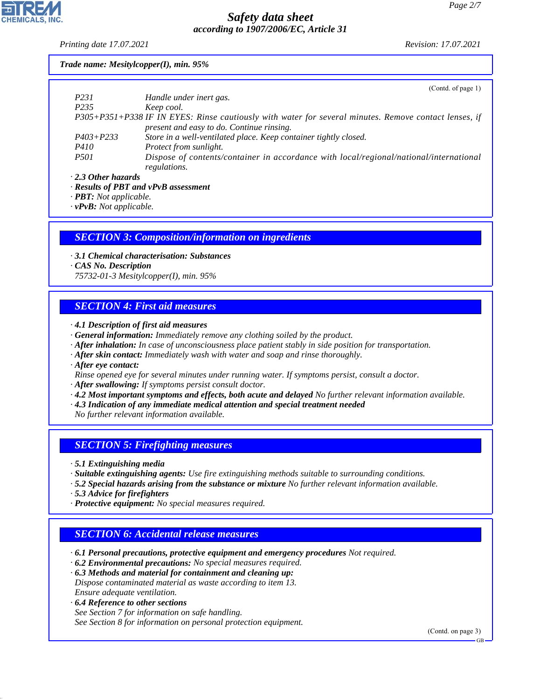*Printing date 17.07.2021 Revision: 17.07.2021*

## *Trade name: Mesitylcopper(I), min. 95%*

|                           | (Contd. of page $1$ )                                                                                 |
|---------------------------|-------------------------------------------------------------------------------------------------------|
| P231                      | Handle under inert gas.                                                                               |
| P <sub>235</sub>          | Keep cool.                                                                                            |
|                           | P305+P351+P338 IF IN EYES: Rinse cautiously with water for several minutes. Remove contact lenses, if |
|                           | present and easy to do. Continue rinsing.                                                             |
| $P403 + P233$             | Store in a well-ventilated place. Keep container tightly closed.                                      |
| <i>P410</i>               | Protect from sunlight.                                                                                |
| <i>P501</i>               | Dispose of contents/container in accordance with local/regional/national/international                |
|                           | regulations.                                                                                          |
| $\cdot$ 2.3 Other hazards |                                                                                                       |

*· Results of PBT and vPvB assessment*

*· PBT: Not applicable.*

*· vPvB: Not applicable.*

## *SECTION 3: Composition/information on ingredients*

*· 3.1 Chemical characterisation: Substances*

*· CAS No. Description*

*75732-01-3 Mesitylcopper(I), min. 95%*

## *SECTION 4: First aid measures*

- *· 4.1 Description of first aid measures*
- *· General information: Immediately remove any clothing soiled by the product.*
- *· After inhalation: In case of unconsciousness place patient stably in side position for transportation.*
- *· After skin contact: Immediately wash with water and soap and rinse thoroughly.*
- *· After eye contact:*
- *Rinse opened eye for several minutes under running water. If symptoms persist, consult a doctor.*
- *· After swallowing: If symptoms persist consult doctor.*
- *· 4.2 Most important symptoms and effects, both acute and delayed No further relevant information available.*
- *· 4.3 Indication of any immediate medical attention and special treatment needed*
- *No further relevant information available.*

## *SECTION 5: Firefighting measures*

*· 5.1 Extinguishing media*

- *· Suitable extinguishing agents: Use fire extinguishing methods suitable to surrounding conditions.*
- *· 5.2 Special hazards arising from the substance or mixture No further relevant information available.*
- *· 5.3 Advice for firefighters*
- *· Protective equipment: No special measures required.*

## *SECTION 6: Accidental release measures*

- *· 6.1 Personal precautions, protective equipment and emergency procedures Not required.*
- *· 6.2 Environmental precautions: No special measures required.*

*· 6.3 Methods and material for containment and cleaning up: Dispose contaminated material as waste according to item 13. Ensure adequate ventilation.*

*· 6.4 Reference to other sections*

44.1.1

*See Section 7 for information on safe handling. See Section 8 for information on personal protection equipment.*

(Contd. on page 3)

GB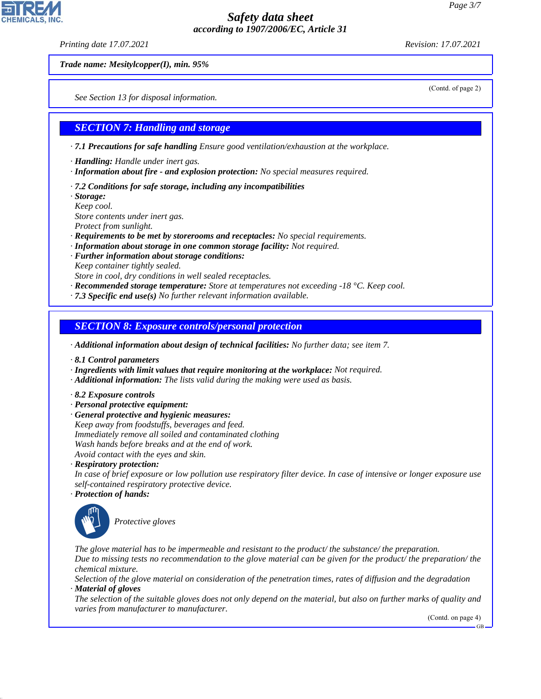*Printing date 17.07.2021 Revision: 17.07.2021*

(Contd. of page 2)

*Trade name: Mesitylcopper(I), min. 95%*

*See Section 13 for disposal information.*

## *SECTION 7: Handling and storage*

*· 7.1 Precautions for safe handling Ensure good ventilation/exhaustion at the workplace.*

*· Handling: Handle under inert gas.*

- *· Information about fire and explosion protection: No special measures required.*
- *· 7.2 Conditions for safe storage, including any incompatibilities*

*· Storage:*

*Keep cool.*

*Store contents under inert gas.*

*Protect from sunlight.*

- *· Requirements to be met by storerooms and receptacles: No special requirements.*
- *· Information about storage in one common storage facility: Not required.*
- *· Further information about storage conditions:*
- *Keep container tightly sealed.*
- *Store in cool, dry conditions in well sealed receptacles.*
- *· Recommended storage temperature: Store at temperatures not exceeding -18 °C. Keep cool.*
- *· 7.3 Specific end use(s) No further relevant information available.*

### *SECTION 8: Exposure controls/personal protection*

- *· Additional information about design of technical facilities: No further data; see item 7.*
- *· 8.1 Control parameters*
- *· Ingredients with limit values that require monitoring at the workplace: Not required.*
- *· Additional information: The lists valid during the making were used as basis.*
- *· 8.2 Exposure controls*
- *· Personal protective equipment:*
- *· General protective and hygienic measures: Keep away from foodstuffs, beverages and feed. Immediately remove all soiled and contaminated clothing Wash hands before breaks and at the end of work. Avoid contact with the eyes and skin.*
- *· Respiratory protection:*
- *In case of brief exposure or low pollution use respiratory filter device. In case of intensive or longer exposure use self-contained respiratory protective device.*
- *· Protection of hands:*



44.1.1

\_S*Protective gloves*

*The glove material has to be impermeable and resistant to the product/ the substance/ the preparation. Due to missing tests no recommendation to the glove material can be given for the product/ the preparation/ the chemical mixture.*

*Selection of the glove material on consideration of the penetration times, rates of diffusion and the degradation · Material of gloves*

*The selection of the suitable gloves does not only depend on the material, but also on further marks of quality and varies from manufacturer to manufacturer.*

(Contd. on page 4)

GB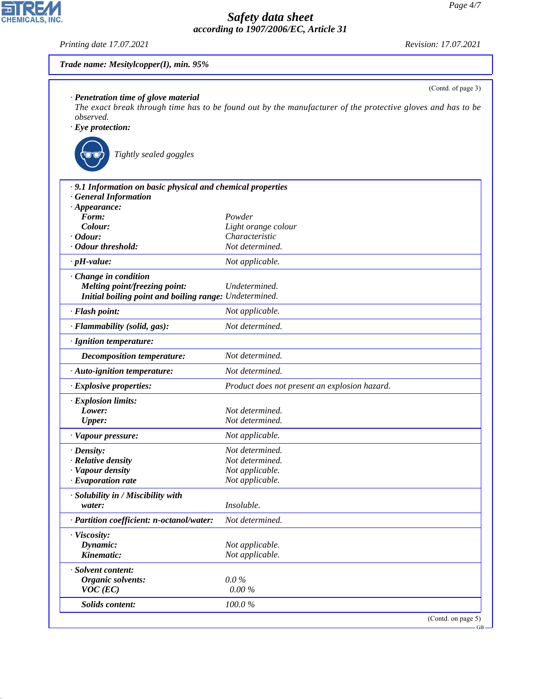*Printing date 17.07.2021 Revision: 17.07.2021*

| Trade name: Mesitylcopper(I), min. 95%                                       |                                                                                                                                   |
|------------------------------------------------------------------------------|-----------------------------------------------------------------------------------------------------------------------------------|
| · Penetration time of glove material<br>observed.<br>$\cdot$ Eye protection: | (Contd. of page 3)<br>The exact break through time has to be found out by the manufacturer of the protective gloves and has to be |
| Tightly sealed goggles                                                       |                                                                                                                                   |
| .9.1 Information on basic physical and chemical properties                   |                                                                                                                                   |
| · General Information                                                        |                                                                                                                                   |
| $\cdot$ Appearance:                                                          |                                                                                                                                   |
| Form:                                                                        | Powder                                                                                                                            |
| Colour:                                                                      | Light orange colour                                                                                                               |
| $\cdot$ Odour:                                                               | Characteristic                                                                                                                    |
| · Odour threshold:                                                           | Not determined.                                                                                                                   |
| $\cdot$ pH-value:                                                            | Not applicable.                                                                                                                   |
| · Change in condition                                                        |                                                                                                                                   |
| Melting point/freezing point:                                                | Undetermined.                                                                                                                     |
| Initial boiling point and boiling range: Undetermined.                       |                                                                                                                                   |
| · Flash point:                                                               | Not applicable.                                                                                                                   |
| · Flammability (solid, gas):                                                 | Not determined.                                                                                                                   |
| · Ignition temperature:                                                      |                                                                                                                                   |
| Decomposition temperature:                                                   | Not determined.                                                                                                                   |
| · Auto-ignition temperature:                                                 | Not determined.                                                                                                                   |
| $\cdot$ Explosive properties:                                                | Product does not present an explosion hazard.                                                                                     |
| · Explosion limits:                                                          |                                                                                                                                   |
| Lower:                                                                       | Not determined.                                                                                                                   |
| <b>Upper:</b>                                                                | Not determined.                                                                                                                   |
| · Vapour pressure:                                                           | Not applicable.                                                                                                                   |
| · Density:                                                                   | Not determined.                                                                                                                   |
| · Relative density                                                           | Not determined.                                                                                                                   |
| · Vapour density                                                             | Not applicable.                                                                                                                   |
| $\cdot$ Evaporation rate                                                     | Not applicable.                                                                                                                   |
| · Solubility in / Miscibility with                                           |                                                                                                                                   |
| water:                                                                       | <i>Insoluble.</i>                                                                                                                 |
| · Partition coefficient: n-octanol/water:                                    | Not determined.                                                                                                                   |
| · Viscosity:                                                                 |                                                                                                                                   |
| Dynamic:                                                                     | Not applicable.                                                                                                                   |
| Kinematic:                                                                   | Not applicable.                                                                                                                   |
| · Solvent content:                                                           |                                                                                                                                   |
| <b>Organic solvents:</b>                                                     | $0.0\%$                                                                                                                           |
| $VOC$ (EC)                                                                   | 0.00%                                                                                                                             |
| Solids content:                                                              | 100.0%                                                                                                                            |
|                                                                              | (Contd. on page 5)                                                                                                                |

44.1.1

CHEMICALS, INC.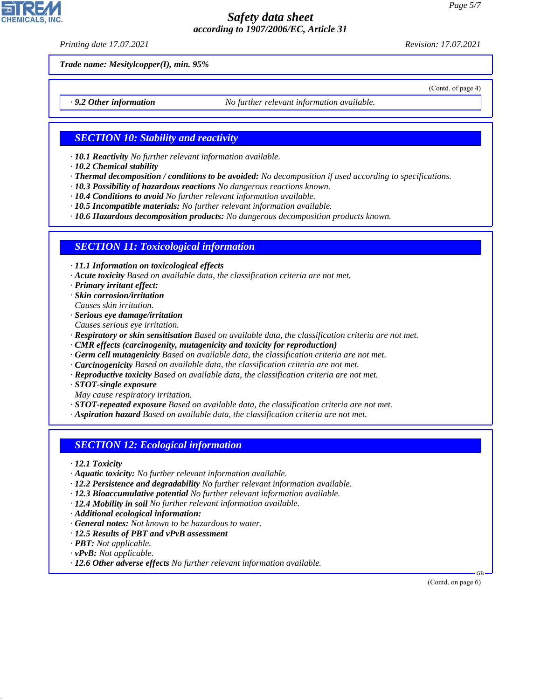*Printing date 17.07.2021 Revision: 17.07.2021*

(Contd. of page 4)

*Trade name: Mesitylcopper(I), min. 95%*

*· 9.2 Other information No further relevant information available.*

### *SECTION 10: Stability and reactivity*

- *· 10.1 Reactivity No further relevant information available.*
- *· 10.2 Chemical stability*
- *· Thermal decomposition / conditions to be avoided: No decomposition if used according to specifications.*
- *· 10.3 Possibility of hazardous reactions No dangerous reactions known.*
- *· 10.4 Conditions to avoid No further relevant information available.*
- *· 10.5 Incompatible materials: No further relevant information available.*

*· 10.6 Hazardous decomposition products: No dangerous decomposition products known.*

#### *SECTION 11: Toxicological information*

*· 11.1 Information on toxicological effects*

- *· Acute toxicity Based on available data, the classification criteria are not met.*
- *· Primary irritant effect:*
- *· Skin corrosion/irritation*
- *Causes skin irritation.*
- *· Serious eye damage/irritation Causes serious eye irritation.*
- *· Respiratory or skin sensitisation Based on available data, the classification criteria are not met.*
- *· CMR effects (carcinogenity, mutagenicity and toxicity for reproduction)*
- *· Germ cell mutagenicity Based on available data, the classification criteria are not met.*
- *· Carcinogenicity Based on available data, the classification criteria are not met.*
- *· Reproductive toxicity Based on available data, the classification criteria are not met.*
- *· STOT-single exposure*
- *May cause respiratory irritation.*
- *· STOT-repeated exposure Based on available data, the classification criteria are not met.*
- *· Aspiration hazard Based on available data, the classification criteria are not met.*

## *SECTION 12: Ecological information*

- *· 12.1 Toxicity*
- *· Aquatic toxicity: No further relevant information available.*
- *· 12.2 Persistence and degradability No further relevant information available.*
- *· 12.3 Bioaccumulative potential No further relevant information available.*
- *· 12.4 Mobility in soil No further relevant information available.*
- *· Additional ecological information:*
- *· General notes: Not known to be hazardous to water.*
- *· 12.5 Results of PBT and vPvB assessment*
- *· PBT: Not applicable.*
- *· vPvB: Not applicable.*

44.1.1

*· 12.6 Other adverse effects No further relevant information available.*

(Contd. on page 6)

GB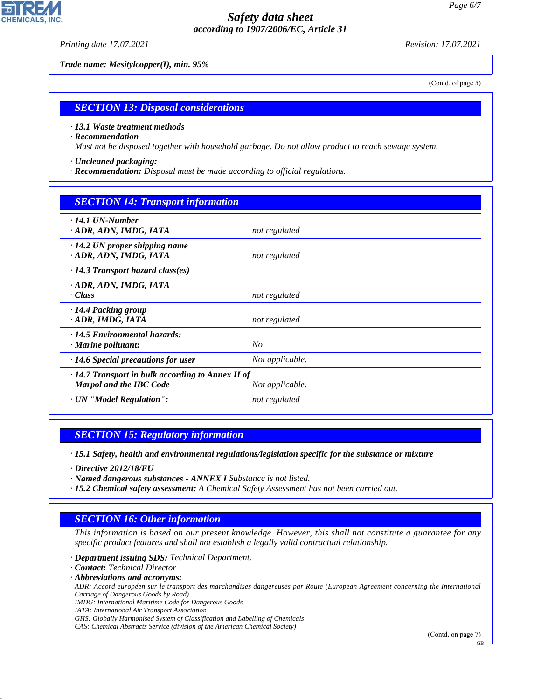*Printing date 17.07.2021 Revision: 17.07.2021*

*Trade name: Mesitylcopper(I), min. 95%*

(Contd. of page 5)

## *SECTION 13: Disposal considerations*

#### *· 13.1 Waste treatment methods*

#### *· Recommendation*

*Must not be disposed together with household garbage. Do not allow product to reach sewage system.*

- *· Uncleaned packaging:*
- *· Recommendation: Disposal must be made according to official regulations.*

| <b>SECTION 14: Transport information</b>                                                                     |                 |  |  |
|--------------------------------------------------------------------------------------------------------------|-----------------|--|--|
| $\cdot$ 14.1 UN-Number<br>ADR, ADN, IMDG, IATA                                                               | not regulated   |  |  |
| $\cdot$ 14.2 UN proper shipping name<br>· ADR, ADN, IMDG, IATA                                               | not regulated   |  |  |
| $\cdot$ 14.3 Transport hazard class(es)                                                                      |                 |  |  |
| · ADR, ADN, IMDG, IATA<br>· Class                                                                            | not regulated   |  |  |
| · 14.4 Packing group<br>· ADR, IMDG, IATA                                                                    | not regulated   |  |  |
| $\cdot$ 14.5 Environmental hazards:<br>$\cdot$ Marine pollutant:                                             | N <sub>O</sub>  |  |  |
| $\cdot$ 14.6 Special precautions for user                                                                    | Not applicable. |  |  |
| $\cdot$ 14.7 Transport in bulk according to Annex II of<br><b>Marpol and the IBC Code</b><br>Not applicable. |                 |  |  |
| · UN "Model Regulation":                                                                                     | not regulated   |  |  |

## *SECTION 15: Regulatory information*

*· 15.1 Safety, health and environmental regulations/legislation specific for the substance or mixture*

*· Directive 2012/18/EU*

- *· Named dangerous substances ANNEX I Substance is not listed.*
- *· 15.2 Chemical safety assessment: A Chemical Safety Assessment has not been carried out.*

## *SECTION 16: Other information*

*This information is based on our present knowledge. However, this shall not constitute a guarantee for any specific product features and shall not establish a legally valid contractual relationship.*

*· Department issuing SDS: Technical Department.*

*· Contact: Technical Director*

44.1.1

*· Abbreviations and acronyms:*

*ADR: Accord européen sur le transport des marchandises dangereuses par Route (European Agreement concerning the International Carriage of Dangerous Goods by Road)*

*IMDG: International Maritime Code for Dangerous Goods*

*IATA: International Air Transport Association*

*GHS: Globally Harmonised System of Classification and Labelling of Chemicals*

*CAS: Chemical Abstracts Service (division of the American Chemical Society)*

(Contd. on page 7)

GB